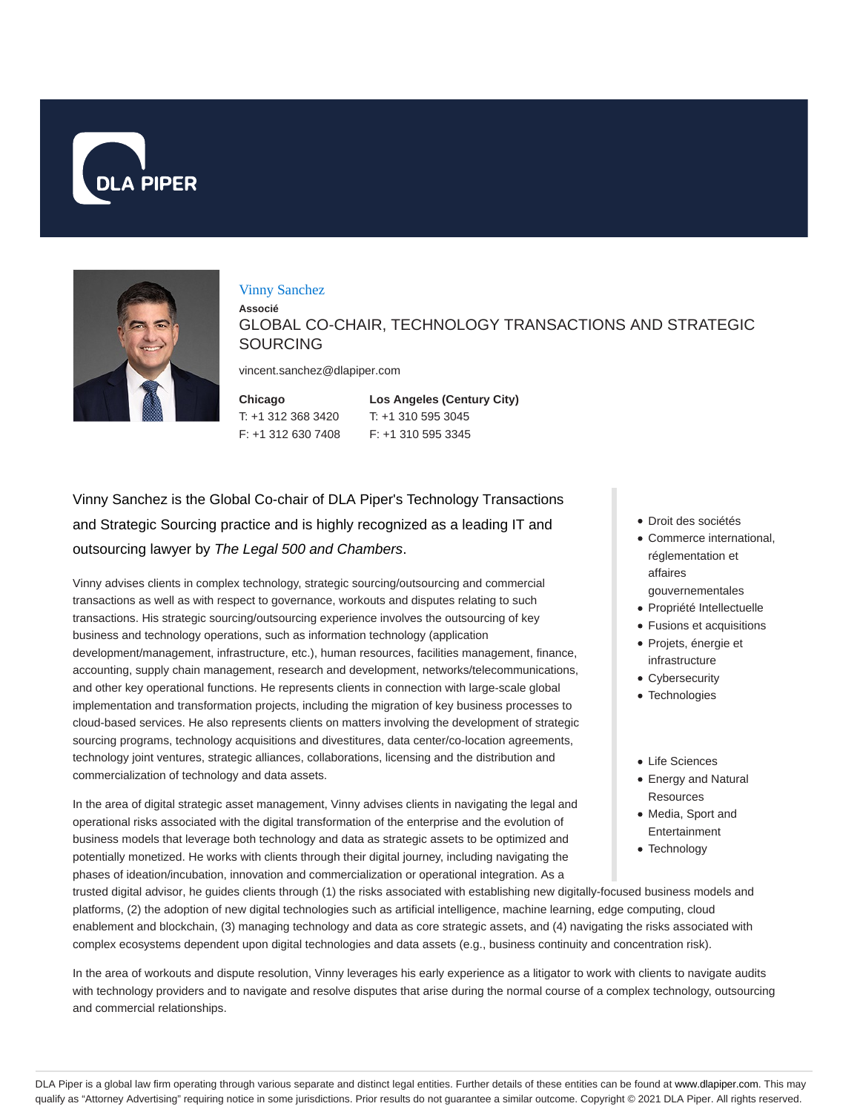



#### Vinny Sanchez

**Associé** GLOBAL CO-CHAIR, TECHNOLOGY TRANSACTIONS AND STRATEGIC **SOURCING** 

vincent.sanchez@dlapiper.com

**Chicago** T: +1 312 368 3420 F: +1 312 630 7408

**Los Angeles (Century City)** T: +1 310 595 3045 F: +1 310 595 3345

Vinny Sanchez is the Global Co-chair of DLA Piper's Technology Transactions and Strategic Sourcing practice and is highly recognized as a leading IT and outsourcing lawyer by The Legal 500 and Chambers.

Vinny advises clients in complex technology, strategic sourcing/outsourcing and commercial transactions as well as with respect to governance, workouts and disputes relating to such transactions. His strategic sourcing/outsourcing experience involves the outsourcing of key business and technology operations, such as information technology (application development/management, infrastructure, etc.), human resources, facilities management, finance, accounting, supply chain management, research and development, networks/telecommunications, and other key operational functions. He represents clients in connection with large-scale global implementation and transformation projects, including the migration of key business processes to cloud-based services. He also represents clients on matters involving the development of strategic sourcing programs, technology acquisitions and divestitures, data center/co-location agreements, technology joint ventures, strategic alliances, collaborations, licensing and the distribution and commercialization of technology and data assets.

In the area of digital strategic asset management, Vinny advises clients in navigating the legal and operational risks associated with the digital transformation of the enterprise and the evolution of business models that leverage both technology and data as strategic assets to be optimized and potentially monetized. He works with clients through their digital journey, including navigating the phases of ideation/incubation, innovation and commercialization or operational integration. As a

trusted digital advisor, he guides clients through (1) the risks associated with establishing new digitally-focused business models and platforms, (2) the adoption of new digital technologies such as artificial intelligence, machine learning, edge computing, cloud enablement and blockchain, (3) managing technology and data as core strategic assets, and (4) navigating the risks associated with complex ecosystems dependent upon digital technologies and data assets (e.g., business continuity and concentration risk).

In the area of workouts and dispute resolution, Vinny leverages his early experience as a litigator to work with clients to navigate audits with technology providers and to navigate and resolve disputes that arise during the normal course of a complex technology, outsourcing and commercial relationships.

- Droit des sociétés
- Commerce international, réglementation et affaires
	- gouvernementales
- Propriété Intellectuelle
- Fusions et acquisitions
- Projets, énergie et
- infrastructure Cybersecurity
- Technologies
- Life Sciences
- Energy and Natural **Resources**
- Media, Sport and Entertainment
- Technology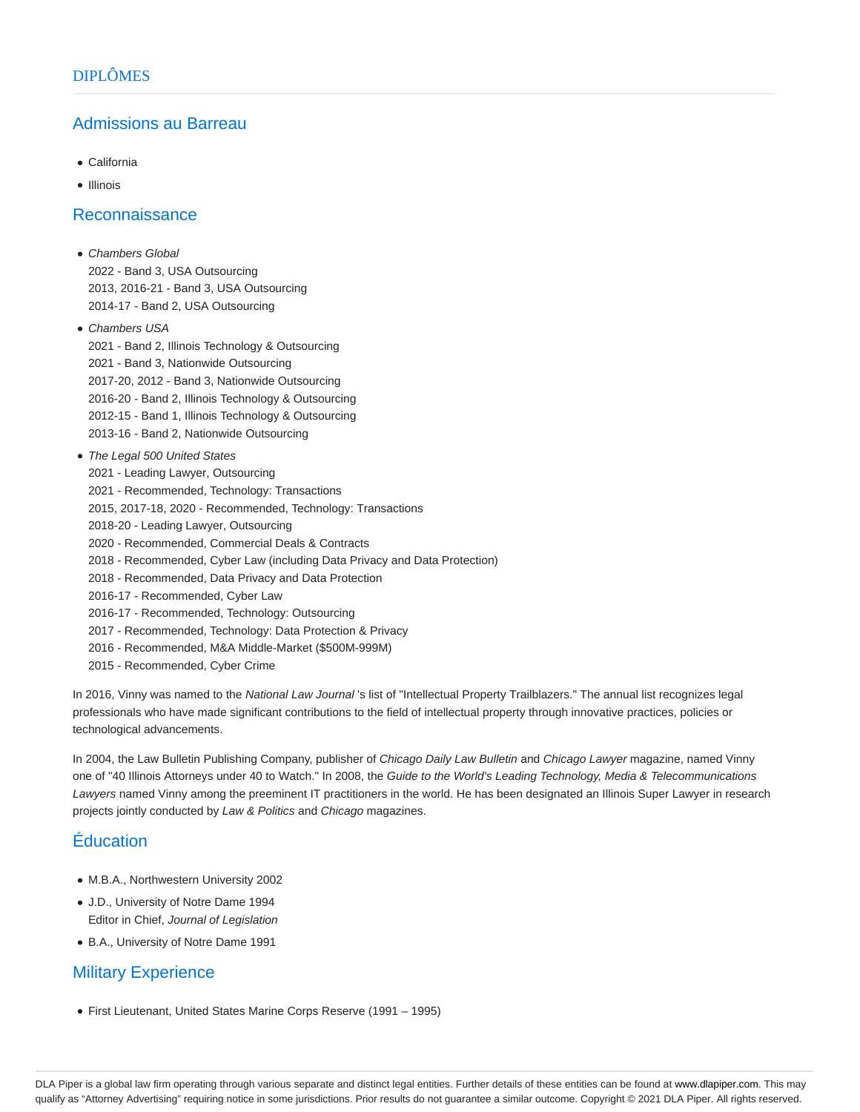## Admissions au Barreau

- California
- Illinois

#### Reconnaissance

- Chambers Global 2022 - Band 3, USA Outsourcing 2013, 2016-21 - Band 3, USA Outsourcing 2014-17 - Band 2, USA Outsourcing
- Chambers USA 2021 - Band 2, Illinois Technology & Outsourcing 2021 - Band 3, Nationwide Outsourcing 2017-20, 2012 - Band 3, Nationwide Outsourcing 2016-20 - Band 2, Illinois Technology & Outsourcing 2012-15 - Band 1, Illinois Technology & Outsourcing 2013-16 - Band 2, Nationwide Outsourcing
- The Legal 500 United States
	- 2021 Leading Lawyer, Outsourcing
	- 2021 Recommended, Technology: Transactions
	- 2015, 2017-18, 2020 Recommended, Technology: Transactions
	- 2018-20 Leading Lawyer, Outsourcing
	- 2020 Recommended, Commercial Deals & Contracts
	- 2018 Recommended, Cyber Law (including Data Privacy and Data Protection)
	- 2018 Recommended, Data Privacy and Data Protection
	- 2016-17 Recommended, Cyber Law
	- 2016-17 Recommended, Technology: Outsourcing
	- 2017 Recommended, Technology: Data Protection & Privacy
	- 2016 Recommended, M&A Middle-Market (\$500M-999M)
	- 2015 Recommended, Cyber Crime

In 2016, Vinny was named to the National Law Journal 's list of "Intellectual Property Trailblazers." The annual list recognizes legal professionals who have made significant contributions to the field of intellectual property through innovative practices, policies or technological advancements.

In 2004, the Law Bulletin Publishing Company, publisher of Chicago Daily Law Bulletin and Chicago Lawyer magazine, named Vinny one of "40 Illinois Attorneys under 40 to Watch." In 2008, the Guide to the World's Leading Technology, Media & Telecommunications Lawyers named Vinny among the preeminent IT practitioners in the world. He has been designated an Illinois Super Lawyer in research projects jointly conducted by Law & Politics and Chicago magazines.

# Éducation

- M.B.A., Northwestern University 2002
- J.D., University of Notre Dame 1994 Editor in Chief, Journal of Legislation
- B.A., University of Notre Dame 1991

# Military Experience

First Lieutenant, United States Marine Corps Reserve (1991 – 1995)